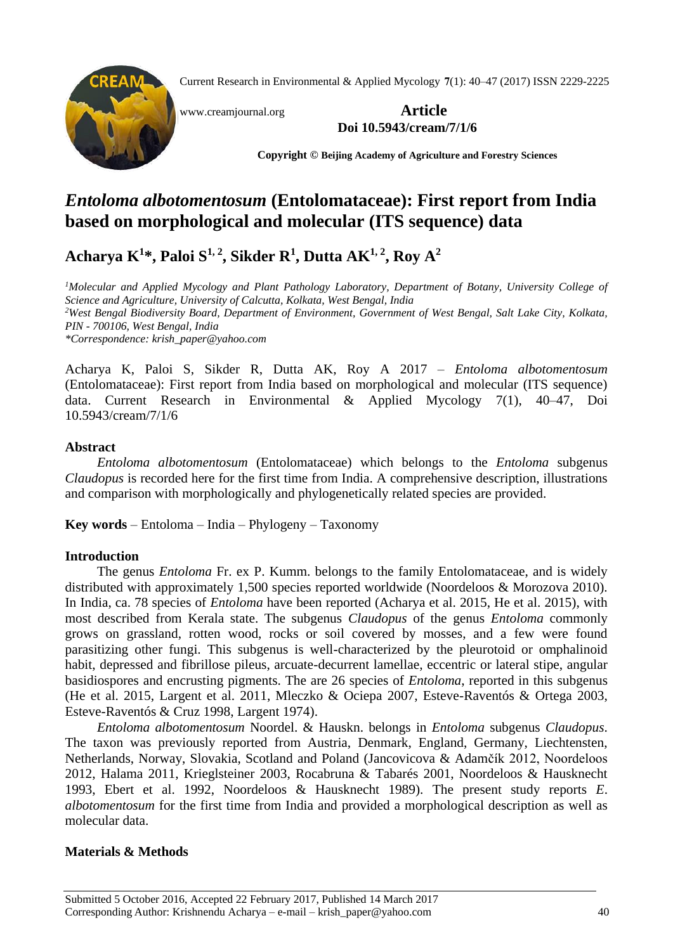Current Research in Environmental & Applied Mycology **7**(1): 40–47 (2017) ISSN 2229-2225



# [www.creamjournal.org](http://www.creamjournal.org/) **Article Doi 10.5943/cream/7/1/6**

**Copyright © Beijing Academy of Agriculture and Forestry Sciences**

# *Entoloma albotomentosum* **(Entolomataceae): First report from India based on morphological and molecular (ITS sequence) data**

**Acharya K 1 \*, Paloi S 1, 2, Sikder R 1 , Dutta AK1, 2, Roy A 2**

*<sup>1</sup>Molecular and Applied Mycology and Plant Pathology Laboratory, Department of Botany, University College of Science and Agriculture, University of Calcutta, Kolkata, West Bengal, India <sup>2</sup>West Bengal Biodiversity Board, Department of Environment, Government of West Bengal, Salt Lake City, Kolkata, PIN - 700106, West Bengal, India \*Correspondence: krish\_paper@yahoo.com*

Acharya K, Paloi S, Sikder R, Dutta AK, Roy A 2017 – *Entoloma albotomentosum*  (Entolomataceae): First report from India based on morphological and molecular (ITS sequence) data. Current Research in Environmental & Applied Mycology 7(1), 40–47, Doi 10.5943/cream/7/1/6

# **Abstract**

*Entoloma albotomentosum* (Entolomataceae) which belongs to the *Entoloma* subgenus *Claudopus* is recorded here for the first time from India. A comprehensive description, illustrations and comparison with morphologically and phylogenetically related species are provided.

**Key words** – Entoloma – India – Phylogeny – Taxonomy

## **Introduction**

The genus *Entoloma* Fr. ex P. Kumm. belongs to the family Entolomataceae, and is widely distributed with approximately 1,500 species reported worldwide (Noordeloos & Morozova 2010). In India, ca. 78 species of *Entoloma* have been reported (Acharya et al. 2015, He et al. 2015), with most described from Kerala state. The subgenus *Claudopus* of the genus *Entoloma* commonly grows on grassland, rotten wood, rocks or soil covered by mosses, and a few were found parasitizing other fungi. This subgenus is well-characterized by the pleurotoid or omphalinoid habit, depressed and fibrillose pileus, arcuate-decurrent lamellae, eccentric or lateral stipe, angular basidiospores and encrusting pigments. The are 26 species of *Entoloma*, reported in this subgenus (He et al. 2015, Largent et al. 2011, Mleczko & Ociepa 2007, Esteve-Raventós & Ortega 2003, Esteve-Raventós & Cruz 1998, Largent 1974).

*Entoloma albotomentosum* Noordel. & Hauskn. belongs in *Entoloma* subgenus *Claudopus*. The taxon was previously reported from Austria, Denmark, England, Germany, Liechtensten, Netherlands, Norway, Slovakia, Scotland and Poland (Jancovicova & Adamčík 2012, Noordeloos 2012, Halama 2011, Krieglsteiner 2003, Rocabruna & Tabarés 2001, Noordeloos & Hausknecht 1993, Ebert et al. 1992, Noordeloos & Hausknecht 1989). The present study reports *E*. *albotomentosum* for the first time from India and provided a morphological description as well as molecular data.

# **Materials & Methods**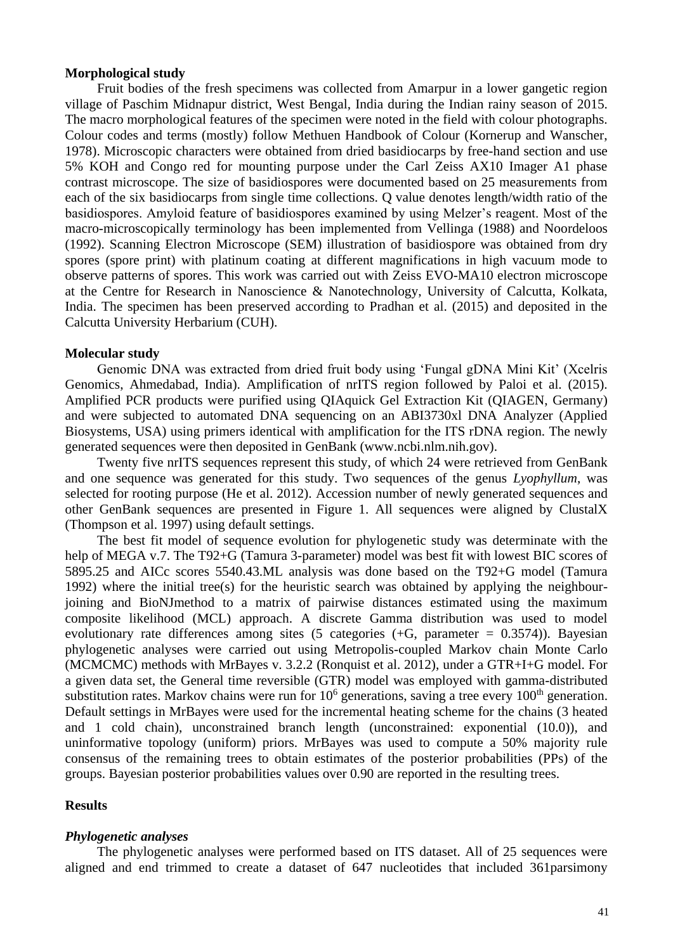### **Morphological study**

Fruit bodies of the fresh specimens was collected from Amarpur in a lower gangetic region village of Paschim Midnapur district, West Bengal, India during the Indian rainy season of 2015. The macro morphological features of the specimen were noted in the field with colour photographs. Colour codes and terms (mostly) follow Methuen Handbook of Colour (Kornerup and Wanscher, 1978). Microscopic characters were obtained from dried basidiocarps by free-hand section and use 5% KOH and Congo red for mounting purpose under the Carl Zeiss AX10 Imager A1 phase contrast microscope. The size of basidiospores were documented based on 25 measurements from each of the six basidiocarps from single time collections. Q value denotes length/width ratio of the basidiospores. Amyloid feature of basidiospores examined by using Melzer's reagent. Most of the macro-microscopically terminology has been implemented from Vellinga (1988) and Noordeloos (1992). Scanning Electron Microscope (SEM) illustration of basidiospore was obtained from dry spores (spore print) with platinum coating at different magnifications in high vacuum mode to observe patterns of spores. This work was carried out with Zeiss EVO-MA10 electron microscope at the Centre for Research in Nanoscience & Nanotechnology, University of Calcutta, Kolkata, India. The specimen has been preserved according to Pradhan et al. (2015) and deposited in the Calcutta University Herbarium (CUH).

#### **Molecular study**

Genomic DNA was extracted from dried fruit body using 'Fungal gDNA Mini Kit' (Xcelris Genomics, Ahmedabad, India). Amplification of nrITS region followed by Paloi et al. (2015). Amplified PCR products were purified using QIAquick Gel Extraction Kit (QIAGEN, Germany) and were subjected to automated DNA sequencing on an ABI3730xl DNA Analyzer (Applied Biosystems, USA) using primers identical with amplification for the ITS rDNA region. The newly generated sequences were then deposited in GenBank (www.ncbi.nlm.nih.gov).

Twenty five nrITS sequences represent this study, of which 24 were retrieved from GenBank and one sequence was generated for this study. Two sequences of the genus *Lyophyllum*, was selected for rooting purpose (He et al. 2012). Accession number of newly generated sequences and other GenBank sequences are presented in Figure 1. All sequences were aligned by ClustalX (Thompson et al. 1997) using default settings.

The best fit model of sequence evolution for phylogenetic study was determinate with the help of MEGA v.7. The T92+G (Tamura 3-parameter) model was best fit with lowest BIC scores of 5895.25 and AICc scores 5540.43.ML analysis was done based on the T92+G model (Tamura 1992) where the initial tree(s) for the heuristic search was obtained by applying the neighbourjoining and BioNJmethod to a matrix of pairwise distances estimated using the maximum composite likelihood (MCL) approach. A discrete Gamma distribution was used to model evolutionary rate differences among sites  $(5 \text{ categories } (+G, \text{ parameter } = 0.3574))$ . Bayesian phylogenetic analyses were carried out using Metropolis-coupled Markov chain Monte Carlo (MCMCMC) methods with MrBayes v. 3.2.2 (Ronquist et al. 2012), under a GTR+I+G model. For a given data set, the General time reversible (GTR) model was employed with gamma-distributed substitution rates. Markov chains were run for  $10^6$  generations, saving a tree every  $100^{\text{th}}$  generation. Default settings in MrBayes were used for the incremental heating scheme for the chains (3 heated and 1 cold chain), unconstrained branch length (unconstrained: exponential (10.0)), and uninformative topology (uniform) priors. MrBayes was used to compute a 50% majority rule consensus of the remaining trees to obtain estimates of the posterior probabilities (PPs) of the groups. Bayesian posterior probabilities values over 0.90 are reported in the resulting trees.

#### **Results**

### *Phylogenetic analyses*

The phylogenetic analyses were performed based on ITS dataset. All of 25 sequences were aligned and end trimmed to create a dataset of 647 nucleotides that included 361parsimony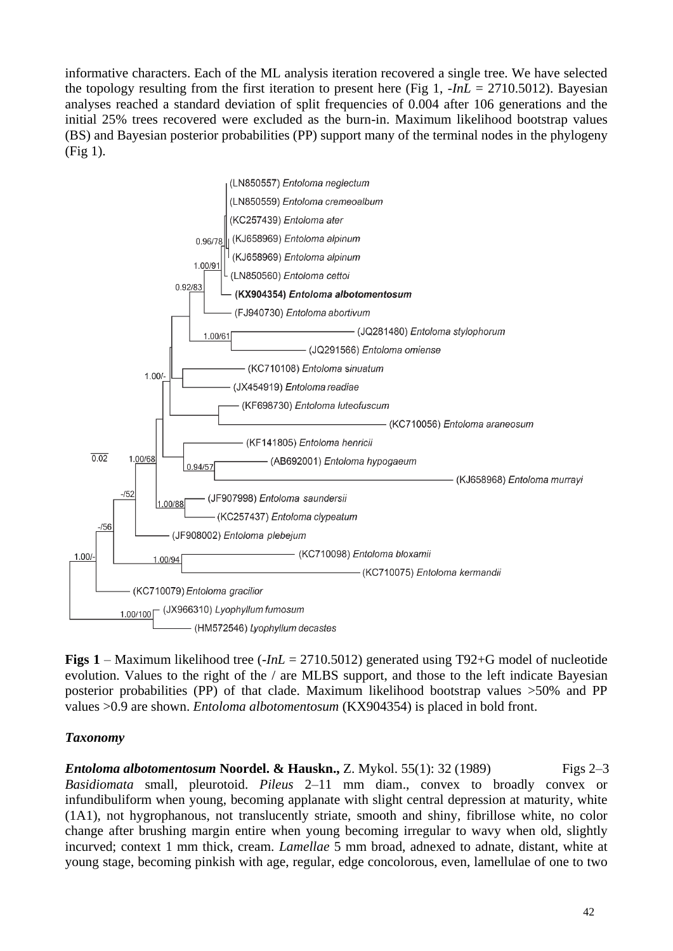informative characters. Each of the ML analysis iteration recovered a single tree. We have selected the topology resulting from the first iteration to present here (Fig 1, -*InL* = 2710.5012). Bayesian analyses reached a standard deviation of split frequencies of 0.004 after 106 generations and the initial 25% trees recovered were excluded as the burn-in. Maximum likelihood bootstrap values (BS) and Bayesian posterior probabilities (PP) support many of the terminal nodes in the phylogeny (Fig 1).



**Figs 1** – Maximum likelihood tree (-*InL* = 2710.5012) generated using T92+G model of nucleotide evolution. Values to the right of the / are MLBS support, and those to the left indicate Bayesian posterior probabilities (PP) of that clade. Maximum likelihood bootstrap values >50% and PP values >0.9 are shown. *Entoloma albotomentosum* (KX904354) is placed in bold front.

# *Taxonomy*

*Entoloma albotomentosum* **Noordel. & Hauskn.,** Z. Mykol. 55(1): 32 (1989) Figs 2–3 *Basidiomata* small, pleurotoid. *Pileus* 2–11 mm diam., convex to broadly convex or infundibuliform when young, becoming applanate with slight central depression at maturity, white (1A1), not hygrophanous, not translucently striate, smooth and shiny, fibrillose white, no color change after brushing margin entire when young becoming irregular to wavy when old, slightly incurved; context 1 mm thick, cream. *Lamellae* 5 mm broad, adnexed to adnate, distant, white at young stage, becoming pinkish with age, regular, edge concolorous, even, lamellulae of one to two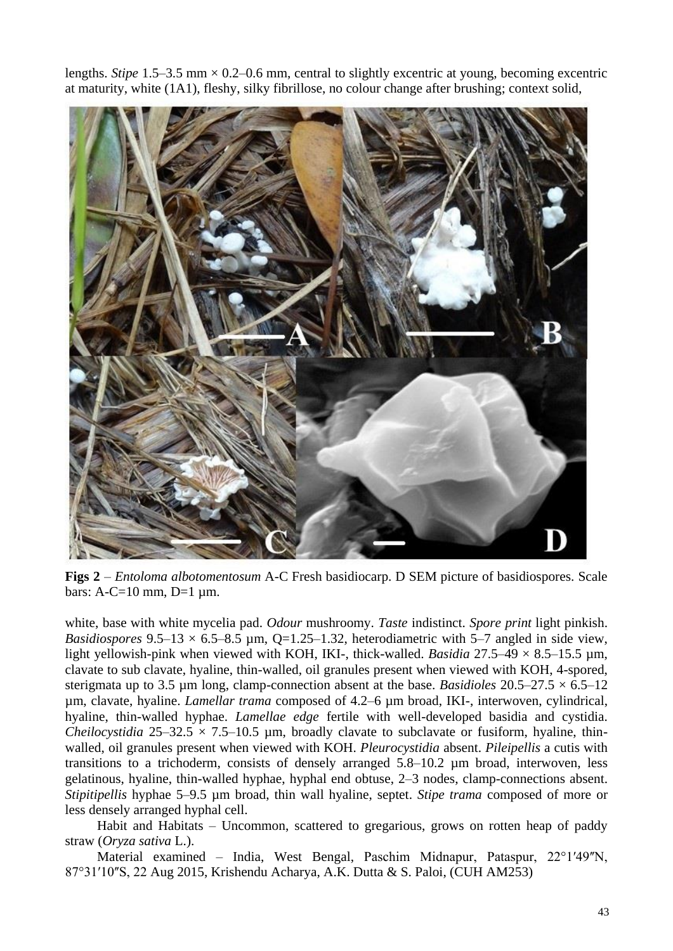lengths. *Stipe* 1.5–3.5 mm × 0.2–0.6 mm, central to slightly excentric at young, becoming excentric at maturity, white (1A1), fleshy, silky fibrillose, no colour change after brushing; context solid,



**Figs 2** – *Entoloma albotomentosum* A-C Fresh basidiocarp. D SEM picture of basidiospores. Scale bars:  $A-C=10$  mm,  $D=1$  µm.

white, base with white mycelia pad. *Odour* mushroomy. *Taste* indistinct. *Spore print* light pinkish. *Basidiospores* 9.5–13  $\times$  6.5–8.5 µm, Q=1.25–1.32, heterodiametric with 5–7 angled in side view, light yellowish-pink when viewed with KOH, IKI-, thick-walled. *Basidia* 27.5–49 × 8.5–15.5 µm, clavate to sub clavate, hyaline, thin-walled, oil granules present when viewed with KOH, 4-spored, sterigmata up to 3.5  $\mu$ m long, clamp-connection absent at the base. *Basidioles* 20.5–27.5  $\times$  6.5–12 µm, clavate, hyaline. *Lamellar trama* composed of 4.2–6 µm broad, IKI-, interwoven, cylindrical, hyaline, thin-walled hyphae. *Lamellae edge* fertile with well-developed basidia and cystidia. *Cheilocystidia* 25–32.5  $\times$  7.5–10.5 µm, broadly clavate to subclavate or fusiform, hyaline, thinwalled, oil granules present when viewed with KOH. *Pleurocystidia* absent. *Pileipellis* a cutis with transitions to a trichoderm, consists of densely arranged 5.8–10.2 µm broad, interwoven, less gelatinous, hyaline, thin-walled hyphae, hyphal end obtuse, 2–3 nodes, clamp-connections absent. *Stipitipellis* hyphae 5–9.5 µm broad, thin wall hyaline, septet. *Stipe trama* composed of more or less densely arranged hyphal cell.

Habit and Habitats – Uncommon, scattered to gregarious, grows on rotten heap of paddy straw (*Oryza sativa* L.).

Material examined – India, West Bengal, Paschim Midnapur, Pataspur, 22°1′49″N, 87°31ʹ10ʺS, 22 Aug 2015, Krishendu Acharya, A.K. Dutta & S. Paloi, (CUH AM253)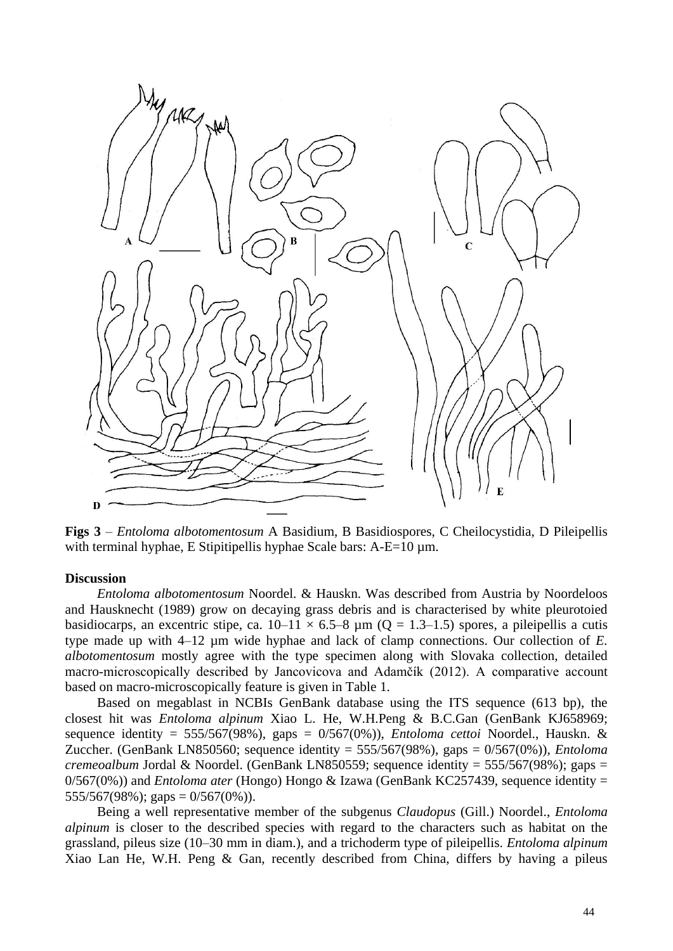

**Figs 3** – *Entoloma albotomentosum* A Basidium, B Basidiospores, C Cheilocystidia, D Pileipellis with terminal hyphae, E Stipitipellis hyphae Scale bars: A-E=10 µm.

### **Discussion**

*Entoloma albotomentosum* Noordel. & Hauskn. Was described from Austria by Noordeloos and Hausknecht (1989) grow on decaying grass debris and is characterised by white pleurotoied basidiocarps, an excentric stipe, ca.  $10-11 \times 6.5-8 \mu m (Q = 1.3-1.5)$  spores, a pileipellis a cutis type made up with 4–12 µm wide hyphae and lack of clamp connections. Our collection of *E. albotomentosum* mostly agree with the type specimen along with Slovaka collection, detailed macro-microscopically described by Jancovicova and Adamčík (2012). A comparative account based on macro-microscopically feature is given in Table 1.

Based on megablast in NCBIs GenBank database using the ITS sequence (613 bp), the closest hit was *Entoloma alpinum* Xiao L. He, W.H.Peng & B.C.Gan (GenBank KJ658969; sequence identity = 555/567(98%), gaps = 0/567(0%)), *Entoloma cettoi* Noordel., Hauskn. & Zuccher. (GenBank LN850560; sequence identity = 555/567(98%), gaps = 0/567(0%)), *Entoloma cremeoalbum* Jordal & Noordel. (GenBank LN850559; sequence identity = 555/567(98%); gaps = 0/567(0%)) and *Entoloma ater* (Hongo) Hongo & Izawa (GenBank KC257439, sequence identity = 555/567(98%); gaps =  $0/567(0\%)$ ).

Being a well representative member of the subgenus *Claudopus* (Gill.) Noordel., *Entoloma alpinum* is closer to the described species with regard to the characters such as habitat on the grassland, pileus size (10–30 mm in diam.), and a trichoderm type of pileipellis. *Entoloma alpinum* Xiao Lan He, W.H. Peng & Gan, recently described from China, differs by having a pileus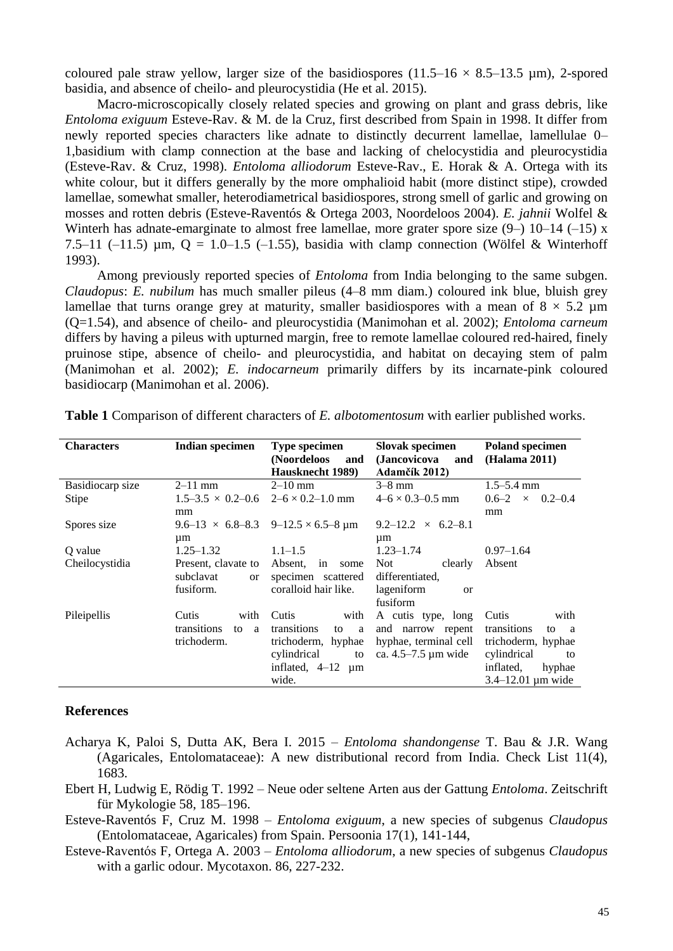coloured pale straw yellow, larger size of the basidiospores  $(11.5-16 \times 8.5-13.5 \mu m)$ , 2-spored basidia, and absence of cheilo- and pleurocystidia (He et al. 2015).

Macro-microscopically closely related species and growing on plant and grass debris, like *Entoloma exiguum* Esteve-Rav. & M. de la Cruz, first described from Spain in 1998. It differ from newly reported species characters like adnate to distinctly decurrent lamellae, lamellulae 0– 1,basidium with clamp connection at the base and lacking of chelocystidia and pleurocystidia (Esteve-Rav. & Cruz, 1998). *Entoloma alliodorum* Esteve-Rav., E. Horak & A. Ortega with its white colour, but it differs generally by the more omphalioid habit (more distinct stipe), crowded lamellae, somewhat smaller, heterodiametrical basidiospores, strong smell of garlic and growing on mosses and rotten debris (Esteve-Raventós & Ortega 2003, Noordeloos 2004). *E. jahnii* Wolfel & Winterh has adnate-emarginate to almost free lamellae, more grater spore size  $(9-) 10-14 (-15) x$ 7.5–11 (–11.5)  $\mu$ m,  $Q = 1.0$ –1.5 (–1.55), basidia with clamp connection (Wölfel & Winterhoff 1993).

Among previously reported species of *Entoloma* from India belonging to the same subgen. *Claudopus*: *E. nubilum* has much smaller pileus (4–8 mm diam.) coloured ink blue, bluish grey lamellae that turns orange grey at maturity, smaller basidiospores with a mean of  $8 \times 5.2$  um (Q=1.54), and absence of cheilo- and pleurocystidia (Manimohan et al. 2002); *Entoloma carneum* differs by having a pileus with upturned margin, free to remote lamellae coloured red-haired, finely pruinose stipe, absence of cheilo- and pleurocystidia, and habitat on decaying stem of palm (Manimohan et al. 2002); *E. indocarneum* primarily differs by its incarnate-pink coloured basidiocarp (Manimohan et al. 2006).

| <b>Characters</b> | <b>Indian specimen</b>                                 | Type specimen<br>(Noordeloos<br>and<br>Hausknecht 1989)                                                               | <b>Slovak specimen</b><br>(Jancovicova<br>and<br>Adamčík 2012)                          | <b>Poland specimen</b><br>(Halama 2011)                                                                                                          |
|-------------------|--------------------------------------------------------|-----------------------------------------------------------------------------------------------------------------------|-----------------------------------------------------------------------------------------|--------------------------------------------------------------------------------------------------------------------------------------------------|
| Basidiocarp size  | $2-11$ mm                                              | $2 - 10$ mm                                                                                                           | $3-8$ mm                                                                                | $1.5 - 5.4$ mm                                                                                                                                   |
| Stipe             | $1.5 - 3.5 \times 0.2 - 0.6$<br>mm                     | $2 - 6 \times 0.2 - 1.0$ mm                                                                                           | $4-6 \times 0.3-0.5$ mm                                                                 | $0.6 - 2 \times$<br>$0.2 - 0.4$<br>mm                                                                                                            |
| Spores size       | μm                                                     | $9.6-13 \times 6.8-8.3$ $9-12.5 \times 6.5-8 \mu m$                                                                   | $9.2 - 12.2 \times 6.2 - 8.1$<br>$\mu$ m                                                |                                                                                                                                                  |
| Q value           | $1.25 - 1.32$                                          | $1.1 - 1.5$                                                                                                           | $1.23 - 1.74$                                                                           | $0.97 - 1.64$                                                                                                                                    |
| Cheilocystidia    | Present, clavate to<br>subclavat<br>or<br>fusiform.    | Absent,<br>in<br>some<br>specimen scattered<br>coralloid hair like.                                                   | <b>Not</b><br>clearly<br>differentiated,<br>lageniform<br><sub>or</sub><br>fusiform     | Absent                                                                                                                                           |
| Pileipellis       | Cutis<br>with<br>transitions<br>to<br>a<br>trichoderm. | Cutis<br>with<br>transitions<br>to<br>a<br>trichoderm, hyphae<br>cylindrical<br>to<br>inflated, $4-12 \mu m$<br>wide. | A cutis type, long<br>and narrow repent<br>hyphae, terminal cell<br>ca. 4.5–7.5 µm wide | with<br>Cutis<br>transitions<br>to<br><sub>a</sub><br>trichoderm, hyphae<br>cylindrical<br>to<br>inflated,<br>hyphae<br>$3.4 - 12.01 \mu m$ wide |

**Table 1** Comparison of different characters of *E. albotomentosum* with earlier published works.

## **References**

- Acharya K, Paloi S, Dutta AK, Bera I. 2015 *Entoloma shandongense* T. Bau & J.R. Wang (Agaricales, Entolomataceae): A new distributional record from India. Check List 11(4), 1683.
- Ebert H, Ludwig E, Rödig T. 1992 Neue oder seltene Arten aus der Gattung *Entoloma*. Zeitschrift für Mykologie 58, 185–196.
- Esteve-Raventós F, Cruz M. 1998 *Entoloma exiguum*, a new species of subgenus *Claudopus* (Entolomataceae, Agaricales) from Spain. Persoonia 17(1), 141-144,
- Esteve‐Raventós F, Ortega A. 2003 *Entoloma alliodorum*, a new species of subgenus *Claudopus* with a garlic odour. Mycotaxon. 86, 227‐232.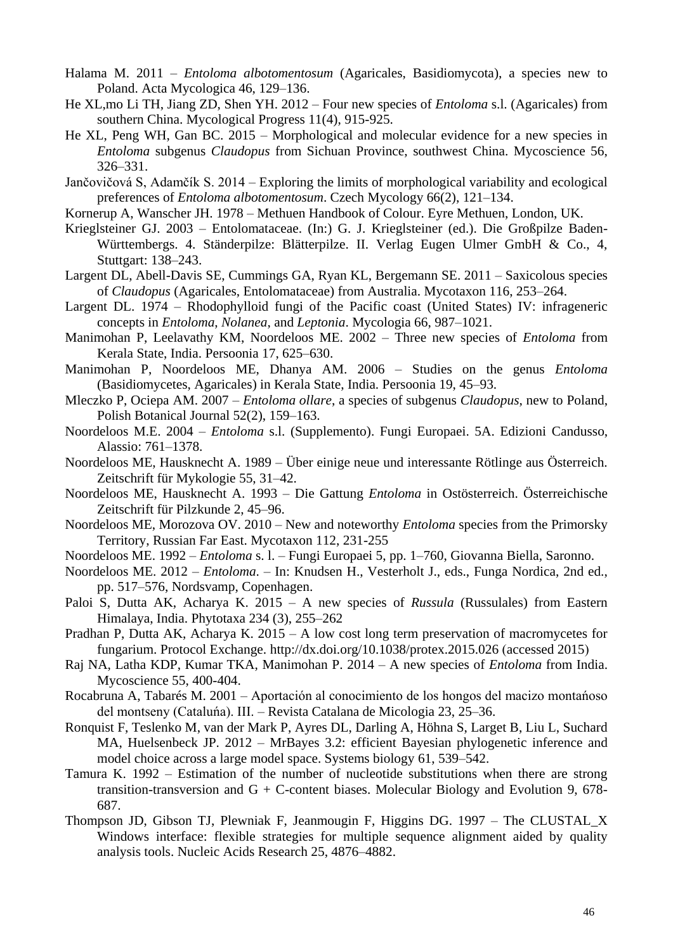- Halama M. 2011 *Entoloma albotomentosum* (Agaricales, Basidiomycota), a species new to Poland. Acta Mycologica 46, 129–136.
- He XL,mo Li TH, Jiang ZD, Shen YH. 2012 Four new species of *Entoloma* s.l. (Agaricales) from southern China. Mycological Progress 11(4), 915-925.
- He XL, Peng WH, Gan BC. 2015 Morphological and molecular evidence for a new species in *Entoloma* subgenus *Claudopus* from Sichuan Province, southwest China. Mycoscience 56, 326–331.
- Jančovičová S, Adamčík S. 2014 Exploring the limits of morphological variability and ecological preferences of *Entoloma albotomentosum*. Czech Mycology 66(2), 121–134.
- Kornerup A, Wanscher JH. 1978 Methuen Handbook of Colour. Eyre Methuen, London, UK.
- Krieglsteiner GJ. 2003 Entolomataceae. (In:) G. J. Krieglsteiner (ed.). Die Großpilze Baden-Württembergs. 4. Ständerpilze: Blätterpilze. II. Verlag Eugen Ulmer GmbH & Co., 4, Stuttgart: 138–243.
- Largent DL, Abell-Davis SE, Cummings GA, Ryan KL, Bergemann SE. 2011 Saxicolous species of *Claudopus* (Agaricales, Entolomataceae) from Australia. Mycotaxon 116, 253–264.
- Largent DL. 1974 Rhodophylloid fungi of the Pacific coast (United States) IV: infrageneric concepts in *Entoloma*, *Nolanea*, and *Leptonia*. Mycologia 66, 987–1021.
- Manimohan P, Leelavathy KM, Noordeloos ME. 2002 Three new species of *Entoloma* from Kerala State, India. Persoonia 17, 625–630.
- Manimohan P, Noordeloos ME, Dhanya AM. 2006 Studies on the genus *Entoloma* (Basidiomycetes, Agaricales) in Kerala State, India. Persoonia 19, 45–93.
- Mleczko P, Ociepa AM. 2007 *Entoloma ollare*, a species of subgenus *Claudopus*, new to Poland, Polish Botanical Journal 52(2), 159–163.
- Noordeloos M.E. 2004 *Entoloma* s.l. (Supplemento). Fungi Europaei. 5A. Edizioni Candusso, Alassio: 761–1378.
- Noordeloos ME, Hausknecht A. 1989 Über einige neue und interessante Rötlinge aus Österreich. Zeitschrift für Mykologie 55, 31–42.
- Noordeloos ME, Hausknecht A. 1993 Die Gattung *Entoloma* in Ostösterreich. Österreichische Zeitschrift für Pilzkunde 2, 45–96.
- Noordeloos ME, Morozova OV. 2010 New and noteworthy *Entoloma* species from the Primorsky Territory, Russian Far East. Mycotaxon 112, 231-255
- Noordeloos ME. 1992 *Entoloma* s. l. Fungi Europaei 5, pp. 1–760, Giovanna Biella, Saronno.
- Noordeloos ME. 2012 *Entoloma*. In: Knudsen H., Vesterholt J., eds., Funga Nordica, 2nd ed., pp. 517–576, Nordsvamp, Copenhagen.
- Paloi S, Dutta AK, Acharya K. 2015 A new species of *Russula* (Russulales) from Eastern Himalaya, India. Phytotaxa 234 (3), 255–262
- Pradhan P, Dutta AK, Acharya K. 2015 A low cost long term preservation of macromycetes for fungarium. Protocol Exchange.<http://dx.doi.org/10.1038/protex.2015.026> (accessed 2015)
- Raj NA, Latha KDP, Kumar TKA, Manimohan P. 2014 A new species of *Entoloma* from India. Mycoscience 55, 400-404.
- Rocabruna A, Tabarés M. 2001 Aportación al conocimiento de los hongos del macizo montańoso del montseny (Cataluńa). III. – Revista Catalana de Micologia 23, 25–36.
- Ronquist F, Teslenko M, van der Mark P, Ayres DL, Darling A, Höhna S, Larget B, Liu L, Suchard MA, Huelsenbeck JP. 2012 – MrBayes 3.2: efficient Bayesian phylogenetic inference and model choice across a large model space. Systems biology 61, 539–542.
- Tamura K. 1992 Estimation of the number of nucleotide substitutions when there are strong transition-transversion and G + C-content biases. Molecular Biology and Evolution 9, 678- 687.
- Thompson JD, Gibson TJ, Plewniak F, Jeanmougin F, Higgins DG. 1997 The CLUSTAL\_X Windows interface: flexible strategies for multiple sequence alignment aided by quality analysis tools. Nucleic Acids Research 25, 4876–4882.